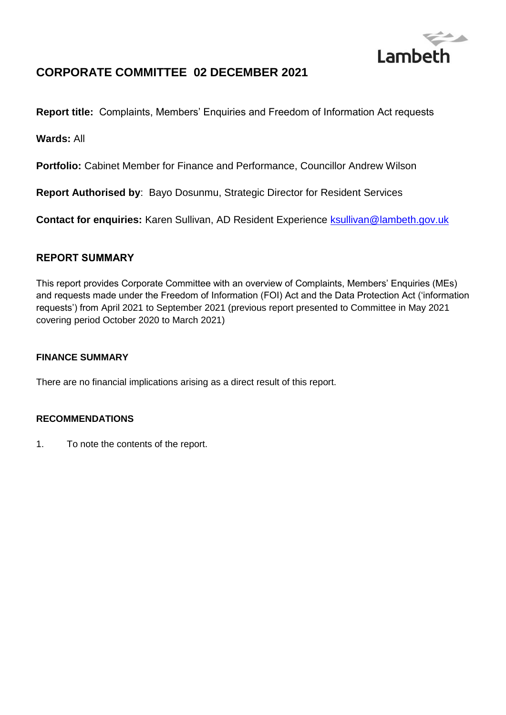

# **CORPORATE COMMITTEE 02 DECEMBER 2021**

**Report title:** Complaints, Members' Enquiries and Freedom of Information Act requests

**Wards:** All

**Portfolio:** Cabinet Member for Finance and Performance, Councillor Andrew Wilson

**Report Authorised by**: Bayo Dosunmu, Strategic Director for Resident Services

**Contact for enquiries:** Karen Sullivan, AD Resident Experience [ksullivan@lambeth.gov.uk](mailto:ksullivan@lambeth.gov.uk)

## **REPORT SUMMARY**

This report provides Corporate Committee with an overview of Complaints, Members' Enquiries (MEs) and requests made under the Freedom of Information (FOI) Act and the Data Protection Act ('information requests') from April 2021 to September 2021 (previous report presented to Committee in May 2021 covering period October 2020 to March 2021)

## **FINANCE SUMMARY**

There are no financial implications arising as a direct result of this report.

## **RECOMMENDATIONS**

1. To note the contents of the report.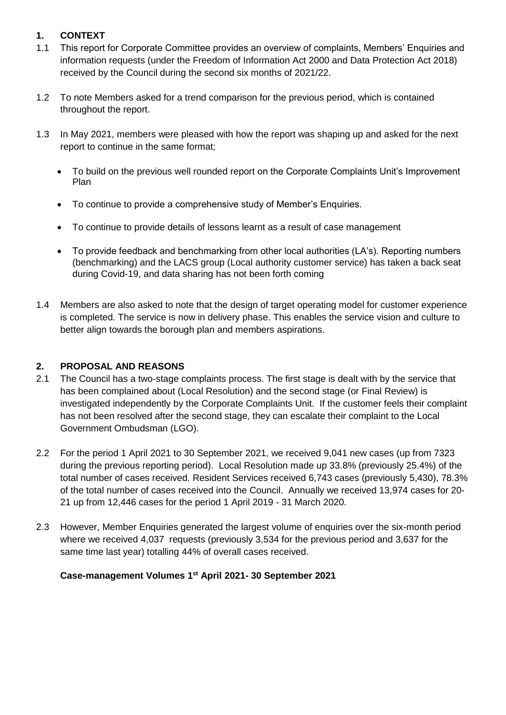## **1. CONTEXT**

- 1.1 This report for Corporate Committee provides an overview of complaints, Members' Enquiries and information requests (under the Freedom of Information Act 2000 and Data Protection Act 2018) received by the Council during the second six months of 2021/22.
- 1.2 To note Members asked for a trend comparison for the previous period, which is contained throughout the report.
- 1.3 In May 2021, members were pleased with how the report was shaping up and asked for the next report to continue in the same format;
	- To build on the previous well rounded report on the Corporate Complaints Unit's Improvement Plan
	- To continue to provide a comprehensive study of Member's Enquiries.
	- To continue to provide details of lessons learnt as a result of case management
	- To provide feedback and benchmarking from other local authorities (LA's). Reporting numbers (benchmarking) and the LACS group (Local authority customer service) has taken a back seat during Covid-19, and data sharing has not been forth coming
- 1.4 Members are also asked to note that the design of target operating model for customer experience is completed. The service is now in delivery phase. This enables the service vision and culture to better align towards the borough plan and members aspirations.

## **2. PROPOSAL AND REASONS**

- 2.1 The Council has a two-stage complaints process. The first stage is dealt with by the service that has been complained about (Local Resolution) and the second stage (or Final Review) is investigated independently by the Corporate Complaints Unit. If the customer feels their complaint has not been resolved after the second stage, they can escalate their complaint to the Local Government Ombudsman (LGO).
- 2.2 For the period 1 April 2021 to 30 September 2021, we received 9,041 new cases (up from 7323 during the previous reporting period). Local Resolution made up 33.8% (previously 25.4%) of the total number of cases received. Resident Services received 6,743 cases (previously 5,430), 78.3% of the total number of cases received into the Council. Annually we received 13,974 cases for 20- 21 up from 12,446 cases for the period 1 April 2019 - 31 March 2020.
- 2.3 However, Member Enquiries generated the largest volume of enquiries over the six-month period where we received 4,037 requests (previously 3,534 for the previous period and 3,637 for the same time last year) totalling 44% of overall cases received.

## **Case-management Volumes 1st April 2021- 30 September 2021**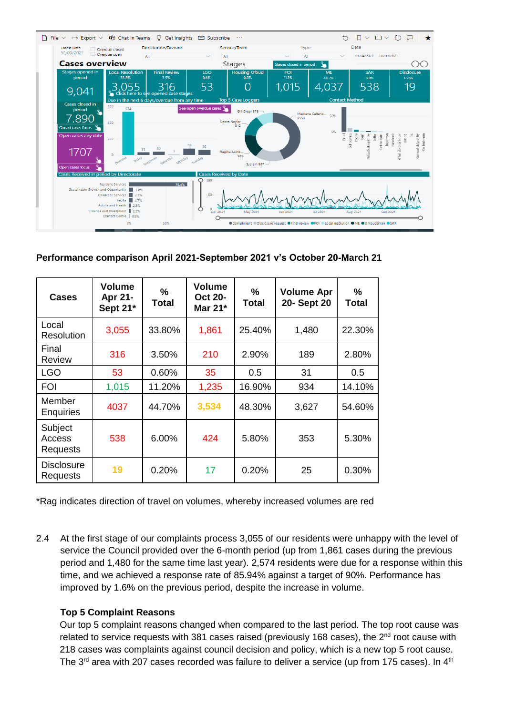

#### **Performance comparison April 2021-September 2021 v's October 20-March 21**

| <b>Cases</b>                         | <b>Volume</b><br>Apr 21-<br>Sept 21* | %<br>Total | <b>Volume</b><br><b>Oct 20-</b><br>Mar 21* | $\%$<br>Total | <b>Volume Apr</b><br>20- Sept 20 | $\%$<br>Total |
|--------------------------------------|--------------------------------------|------------|--------------------------------------------|---------------|----------------------------------|---------------|
| Local<br>Resolution                  | 3,055                                | 33.80%     | 1,861                                      | 25.40%        | 1,480                            | 22.30%        |
| Final<br>Review                      | 316                                  | 3.50%      | 210                                        | 2.90%         | 189                              | 2.80%         |
| <b>LGO</b>                           | 53                                   | 0.60%      | 35                                         | 0.5           | 31                               | 0.5           |
| <b>FOI</b>                           | 1,015                                | 11.20%     | 1,235                                      | 16.90%        | 934                              | 14.10%        |
| Member<br><b>Enquiries</b>           | 4037                                 | 44.70%     | 3,534                                      | 48.30%        | 3,627                            | 54.60%        |
| Subject<br>Access<br><b>Requests</b> | 538                                  | 6.00%      | 424                                        | 5.80%         | 353                              | 5.30%         |
| <b>Disclosure</b><br><b>Requests</b> | 19                                   | 0.20%      | 17                                         | 0.20%         | 25                               | 0.30%         |

\*Rag indicates direction of travel on volumes, whereby increased volumes are red

2.4 At the first stage of our complaints process 3,055 of our residents were unhappy with the level of service the Council provided over the 6-month period (up from 1,861 cases during the previous period and 1,480 for the same time last year). 2,574 residents were due for a response within this time, and we achieved a response rate of 85.94% against a target of 90%. Performance has improved by 1.6% on the previous period, despite the increase in volume.

#### **Top 5 Complaint Reasons**

Our top 5 complaint reasons changed when compared to the last period. The top root cause was related to service requests with 381 cases raised (previously 168 cases), the  $2^{nd}$  root cause with 218 cases was complaints against council decision and policy, which is a new top 5 root cause. The 3<sup>rd</sup> area with 207 cases recorded was failure to deliver a service (up from 175 cases). In 4<sup>th</sup>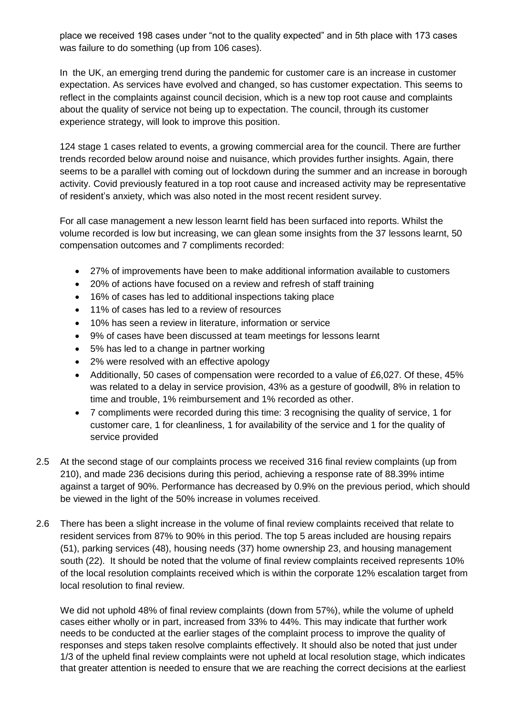place we received 198 cases under "not to the quality expected" and in 5th place with 173 cases was failure to do something (up from 106 cases).

In the UK, an emerging trend during the pandemic for customer care is an increase in customer expectation. As services have evolved and changed, so has customer expectation. This seems to reflect in the complaints against council decision, which is a new top root cause and complaints about the quality of service not being up to expectation. The council, through its customer experience strategy, will look to improve this position.

124 stage 1 cases related to events, a growing commercial area for the council. There are further trends recorded below around noise and nuisance, which provides further insights. Again, there seems to be a parallel with coming out of lockdown during the summer and an increase in borough activity. Covid previously featured in a top root cause and increased activity may be representative of resident's anxiety, which was also noted in the most recent resident survey.

For all case management a new lesson learnt field has been surfaced into reports. Whilst the volume recorded is low but increasing, we can glean some insights from the 37 lessons learnt, 50 compensation outcomes and 7 compliments recorded:

- 27% of improvements have been to make additional information available to customers
- 20% of actions have focused on a review and refresh of staff training
- 16% of cases has led to additional inspections taking place
- 11% of cases has led to a review of resources
- 10% has seen a review in literature, information or service
- 9% of cases have been discussed at team meetings for lessons learnt
- 5% has led to a change in partner working
- 2% were resolved with an effective apology
- Additionally, 50 cases of compensation were recorded to a value of £6,027. Of these, 45% was related to a delay in service provision, 43% as a gesture of goodwill, 8% in relation to time and trouble, 1% reimbursement and 1% recorded as other.
- 7 compliments were recorded during this time: 3 recognising the quality of service, 1 for customer care, 1 for cleanliness, 1 for availability of the service and 1 for the quality of service provided
- 2.5 At the second stage of our complaints process we received 316 final review complaints (up from 210), and made 236 decisions during this period, achieving a response rate of 88.39% intime against a target of 90%. Performance has decreased by 0.9% on the previous period, which should be viewed in the light of the 50% increase in volumes received.
- 2.6 There has been a slight increase in the volume of final review complaints received that relate to resident services from 87% to 90% in this period. The top 5 areas included are housing repairs (51), parking services (48), housing needs (37) home ownership 23, and housing management south (22). It should be noted that the volume of final review complaints received represents 10% of the local resolution complaints received which is within the corporate 12% escalation target from local resolution to final review.

We did not uphold 48% of final review complaints (down from 57%), while the volume of upheld cases either wholly or in part, increased from 33% to 44%. This may indicate that further work needs to be conducted at the earlier stages of the complaint process to improve the quality of responses and steps taken resolve complaints effectively. It should also be noted that just under 1/3 of the upheld final review complaints were not upheld at local resolution stage, which indicates that greater attention is needed to ensure that we are reaching the correct decisions at the earliest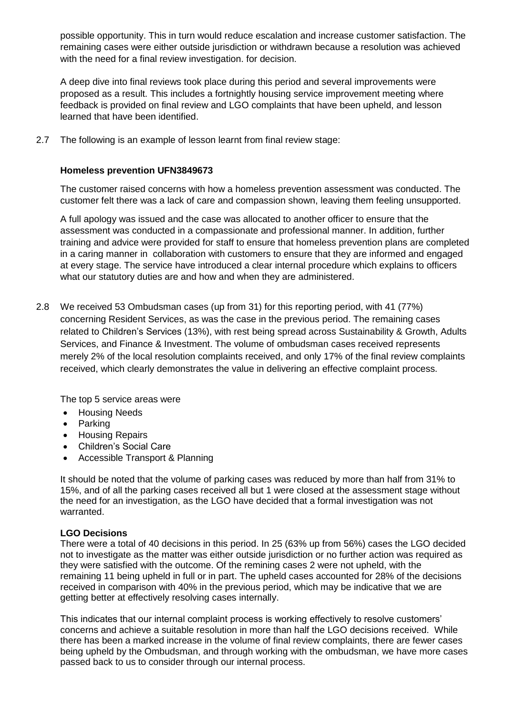possible opportunity. This in turn would reduce escalation and increase customer satisfaction. The remaining cases were either outside jurisdiction or withdrawn because a resolution was achieved with the need for a final review investigation. for decision.

A deep dive into final reviews took place during this period and several improvements were proposed as a result. This includes a fortnightly housing service improvement meeting where feedback is provided on final review and LGO complaints that have been upheld, and lesson learned that have been identified.

2.7 The following is an example of lesson learnt from final review stage:

#### **Homeless prevention UFN3849673**

The customer raised concerns with how a homeless prevention assessment was conducted. The customer felt there was a lack of care and compassion shown, leaving them feeling unsupported.

A full apology was issued and the case was allocated to another officer to ensure that the assessment was conducted in a compassionate and professional manner. In addition, further training and advice were provided for staff to ensure that homeless prevention plans are completed in a caring manner in collaboration with customers to ensure that they are informed and engaged at every stage. The service have introduced a clear internal procedure which explains to officers what our statutory duties are and how and when they are administered.

2.8 We received 53 Ombudsman cases (up from 31) for this reporting period, with 41 (77%) concerning Resident Services, as was the case in the previous period. The remaining cases related to Children's Services (13%), with rest being spread across Sustainability & Growth, Adults Services, and Finance & Investment. The volume of ombudsman cases received represents merely 2% of the local resolution complaints received, and only 17% of the final review complaints received, which clearly demonstrates the value in delivering an effective complaint process.

The top 5 service areas were

- Housing Needs
- Parking
- **•** Housing Repairs
- Children's Social Care
- Accessible Transport & Planning

It should be noted that the volume of parking cases was reduced by more than half from 31% to 15%, and of all the parking cases received all but 1 were closed at the assessment stage without the need for an investigation, as the LGO have decided that a formal investigation was not warranted.

#### **LGO Decisions**

There were a total of 40 decisions in this period. In 25 (63% up from 56%) cases the LGO decided not to investigate as the matter was either outside jurisdiction or no further action was required as they were satisfied with the outcome. Of the remining cases 2 were not upheld, with the remaining 11 being upheld in full or in part. The upheld cases accounted for 28% of the decisions received in comparison with 40% in the previous period, which may be indicative that we are getting better at effectively resolving cases internally.

This indicates that our internal complaint process is working effectively to resolve customers' concerns and achieve a suitable resolution in more than half the LGO decisions received. While there has been a marked increase in the volume of final review complaints, there are fewer cases being upheld by the Ombudsman, and through working with the ombudsman, we have more cases passed back to us to consider through our internal process.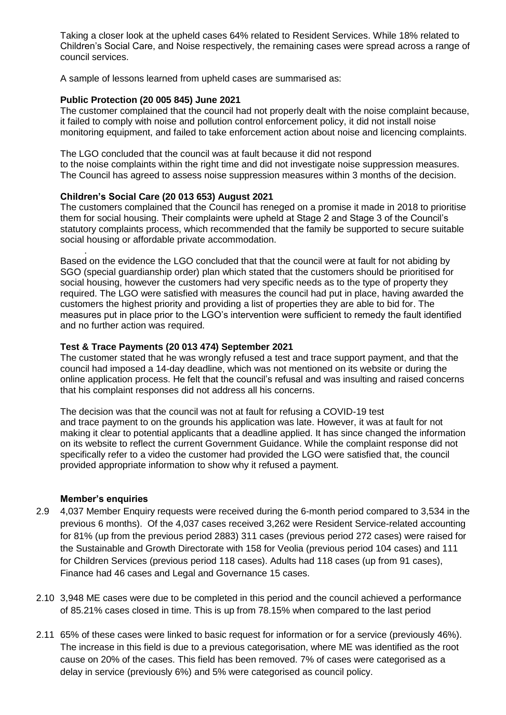Taking a closer look at the upheld cases 64% related to Resident Services. While 18% related to Children's Social Care, and Noise respectively, the remaining cases were spread across a range of council services.

A sample of lessons learned from upheld cases are summarised as:

#### **Public Protection (20 005 845) June 2021**

The customer complained that the council had not properly dealt with the noise complaint because, it failed to comply with noise and pollution control enforcement policy, it did not install noise monitoring equipment, and failed to take enforcement action about noise and licencing complaints.

The LGO concluded that the council was at fault because it did not respond to the noise complaints within the right time and did not investigate noise suppression measures. The Council has agreed to assess noise suppression measures within 3 months of the decision.

#### **Children's Social Care (20 013 653) August 2021**

The customers complained that the Council has reneged on a promise it made in 2018 to prioritise them for social housing. Their complaints were upheld at Stage 2 and Stage 3 of the Council's statutory complaints process, which recommended that the family be supported to secure suitable social housing or affordable private accommodation.

. Based on the evidence the LGO concluded that that the council were at fault for not abiding by SGO (special guardianship order) plan which stated that the customers should be prioritised for social housing, however the customers had very specific needs as to the type of property they required. The LGO were satisfied with measures the council had put in place, having awarded the customers the highest priority and providing a list of properties they are able to bid for. The measures put in place prior to the LGO's intervention were sufficient to remedy the fault identified and no further action was required.

#### **Test & Trace Payments (20 013 474) September 2021**

The customer stated that he was wrongly refused a test and trace support payment, and that the council had imposed a 14-day deadline, which was not mentioned on its website or during the online application process. He felt that the council's refusal and was insulting and raised concerns that his complaint responses did not address all his concerns.

The decision was that the council was not at fault for refusing a COVID-19 test and trace payment to on the grounds his application was late. However, it was at fault for not making it clear to potential applicants that a deadline applied. It has since changed the information on its website to reflect the current Government Guidance. While the complaint response did not specifically refer to a video the customer had provided the LGO were satisfied that, the council provided appropriate information to show why it refused a payment.

#### **Member's enquiries**

- 2.9 4,037 Member Enquiry requests were received during the 6-month period compared to 3,534 in the previous 6 months). Of the 4,037 cases received 3,262 were Resident Service-related accounting for 81% (up from the previous period 2883) 311 cases (previous period 272 cases) were raised for the Sustainable and Growth Directorate with 158 for Veolia (previous period 104 cases) and 111 for Children Services (previous period 118 cases). Adults had 118 cases (up from 91 cases), Finance had 46 cases and Legal and Governance 15 cases.
- 2.10 3,948 ME cases were due to be completed in this period and the council achieved a performance of 85.21% cases closed in time. This is up from 78.15% when compared to the last period
- 2.11 65% of these cases were linked to basic request for information or for a service (previously 46%). The increase in this field is due to a previous categorisation, where ME was identified as the root cause on 20% of the cases. This field has been removed. 7% of cases were categorised as a delay in service (previously 6%) and 5% were categorised as council policy.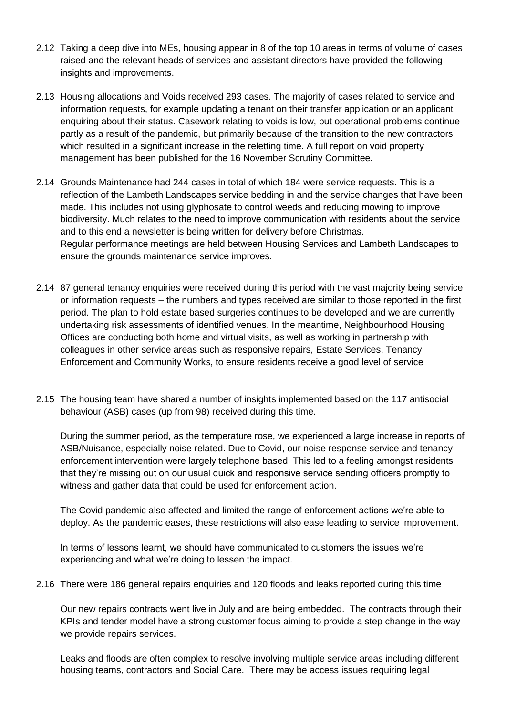- 2.12 Taking a deep dive into MEs, housing appear in 8 of the top 10 areas in terms of volume of cases raised and the relevant heads of services and assistant directors have provided the following insights and improvements.
- 2.13 Housing allocations and Voids received 293 cases. The majority of cases related to service and information requests, for example updating a tenant on their transfer application or an applicant enquiring about their status. Casework relating to voids is low, but operational problems continue partly as a result of the pandemic, but primarily because of the transition to the new contractors which resulted in a significant increase in the reletting time. A full report on void property management has been published for the 16 November Scrutiny Committee.
- 2.14 Grounds Maintenance had 244 cases in total of which 184 were service requests. This is a reflection of the Lambeth Landscapes service bedding in and the service changes that have been made. This includes not using glyphosate to control weeds and reducing mowing to improve biodiversity. Much relates to the need to improve communication with residents about the service and to this end a newsletter is being written for delivery before Christmas. Regular performance meetings are held between Housing Services and Lambeth Landscapes to ensure the grounds maintenance service improves.
- 2.14 87 general tenancy enquiries were received during this period with the vast majority being service or information requests – the numbers and types received are similar to those reported in the first period. The plan to hold estate based surgeries continues to be developed and we are currently undertaking risk assessments of identified venues. In the meantime, Neighbourhood Housing Offices are conducting both home and virtual visits, as well as working in partnership with colleagues in other service areas such as responsive repairs, Estate Services, Tenancy Enforcement and Community Works, to ensure residents receive a good level of service
- 2.15 The housing team have shared a number of insights implemented based on the 117 antisocial behaviour (ASB) cases (up from 98) received during this time.

During the summer period, as the temperature rose, we experienced a large increase in reports of ASB/Nuisance, especially noise related. Due to Covid, our noise response service and tenancy enforcement intervention were largely telephone based. This led to a feeling amongst residents that they're missing out on our usual quick and responsive service sending officers promptly to witness and gather data that could be used for enforcement action.

The Covid pandemic also affected and limited the range of enforcement actions we're able to deploy. As the pandemic eases, these restrictions will also ease leading to service improvement.

In terms of lessons learnt, we should have communicated to customers the issues we're experiencing and what we're doing to lessen the impact.

2.16 There were 186 general repairs enquiries and 120 floods and leaks reported during this time

Our new repairs contracts went live in July and are being embedded. The contracts through their KPIs and tender model have a strong customer focus aiming to provide a step change in the way we provide repairs services.

Leaks and floods are often complex to resolve involving multiple service areas including different housing teams, contractors and Social Care. There may be access issues requiring legal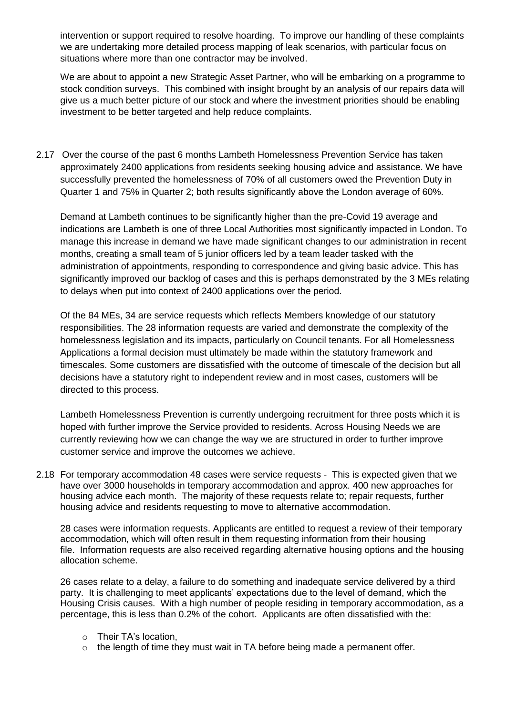intervention or support required to resolve hoarding. To improve our handling of these complaints we are undertaking more detailed process mapping of leak scenarios, with particular focus on situations where more than one contractor may be involved.

We are about to appoint a new Strategic Asset Partner, who will be embarking on a programme to stock condition surveys. This combined with insight brought by an analysis of our repairs data will give us a much better picture of our stock and where the investment priorities should be enabling investment to be better targeted and help reduce complaints.

2.17 Over the course of the past 6 months Lambeth Homelessness Prevention Service has taken approximately 2400 applications from residents seeking housing advice and assistance. We have successfully prevented the homelessness of 70% of all customers owed the Prevention Duty in Quarter 1 and 75% in Quarter 2; both results significantly above the London average of 60%.

Demand at Lambeth continues to be significantly higher than the pre-Covid 19 average and indications are Lambeth is one of three Local Authorities most significantly impacted in London. To manage this increase in demand we have made significant changes to our administration in recent months, creating a small team of 5 junior officers led by a team leader tasked with the administration of appointments, responding to correspondence and giving basic advice. This has significantly improved our backlog of cases and this is perhaps demonstrated by the 3 MEs relating to delays when put into context of 2400 applications over the period.

Of the 84 MEs, 34 are service requests which reflects Members knowledge of our statutory responsibilities. The 28 information requests are varied and demonstrate the complexity of the homelessness legislation and its impacts, particularly on Council tenants. For all Homelessness Applications a formal decision must ultimately be made within the statutory framework and timescales. Some customers are dissatisfied with the outcome of timescale of the decision but all decisions have a statutory right to independent review and in most cases, customers will be directed to this process.

Lambeth Homelessness Prevention is currently undergoing recruitment for three posts which it is hoped with further improve the Service provided to residents. Across Housing Needs we are currently reviewing how we can change the way we are structured in order to further improve customer service and improve the outcomes we achieve.

2.18 For temporary accommodation 48 cases were service requests - This is expected given that we have over 3000 households in temporary accommodation and approx. 400 new approaches for housing advice each month. The majority of these requests relate to; repair requests, further housing advice and residents requesting to move to alternative accommodation.

28 cases were information requests. Applicants are entitled to request a review of their temporary accommodation, which will often result in them requesting information from their housing file. Information requests are also received regarding alternative housing options and the housing allocation scheme.

26 cases relate to a delay, a failure to do something and inadequate service delivered by a third party. It is challenging to meet applicants' expectations due to the level of demand, which the Housing Crisis causes. With a high number of people residing in temporary accommodation, as a percentage, this is less than 0.2% of the cohort. Applicants are often dissatisfied with the:

- o Their TA's location,
- $\circ$  the length of time they must wait in TA before being made a permanent offer.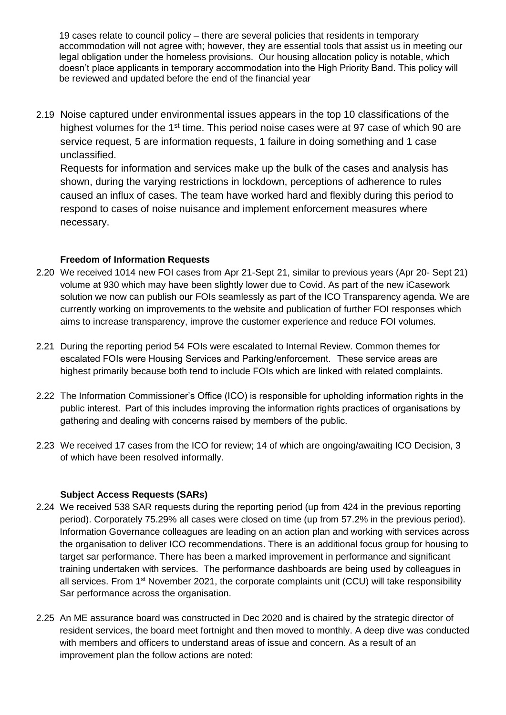19 cases relate to council policy – there are several policies that residents in temporary accommodation will not agree with; however, they are essential tools that assist us in meeting our legal obligation under the homeless provisions. Our housing allocation policy is notable, which doesn't place applicants in temporary accommodation into the High Priority Band. This policy will be reviewed and updated before the end of the financial year

2.19 Noise captured under environmental issues appears in the top 10 classifications of the highest volumes for the 1<sup>st</sup> time. This period noise cases were at 97 case of which 90 are service request, 5 are information requests, 1 failure in doing something and 1 case unclassified.

Requests for information and services make up the bulk of the cases and analysis has shown, during the varying restrictions in lockdown, perceptions of adherence to rules caused an influx of cases. The team have worked hard and flexibly during this period to respond to cases of noise nuisance and implement enforcement measures where necessary.

## **Freedom of Information Requests**

- 2.20 We received 1014 new FOI cases from Apr 21-Sept 21, similar to previous years (Apr 20- Sept 21) volume at 930 which may have been slightly lower due to Covid. As part of the new iCasework solution we now can publish our FOIs seamlessly as part of the ICO Transparency agenda. We are currently working on improvements to the website and publication of further FOI responses which aims to increase transparency, improve the customer experience and reduce FOI volumes.
- 2.21 During the reporting period 54 FOIs were escalated to Internal Review. Common themes for escalated FOIs were Housing Services and Parking/enforcement.   These service areas are highest primarily because both tend to include FOIs which are linked with related complaints.
- 2.22 The Information Commissioner's Office (ICO) is responsible for upholding information rights in the public interest.  Part of this includes improving the information rights practices of organisations by gathering and dealing with concerns raised by members of the public.
- 2.23 We received 17 cases from the ICO for review; 14 of which are ongoing/awaiting ICO Decision, 3 of which have been resolved informally.

## **Subject Access Requests (SARs)**

- 2.24 We received 538 SAR requests during the reporting period (up from 424 in the previous reporting period). Corporately 75.29% all cases were closed on time (up from 57.2% in the previous period). Information Governance colleagues are leading on an action plan and working with services across the organisation to deliver ICO recommendations. There is an additional focus group for housing to target sar performance. There has been a marked improvement in performance and significant training undertaken with services. The performance dashboards are being used by colleagues in all services. From 1<sup>st</sup> November 2021, the corporate complaints unit (CCU) will take responsibility Sar performance across the organisation.
- 2.25 An ME assurance board was constructed in Dec 2020 and is chaired by the strategic director of resident services, the board meet fortnight and then moved to monthly. A deep dive was conducted with members and officers to understand areas of issue and concern. As a result of an improvement plan the follow actions are noted: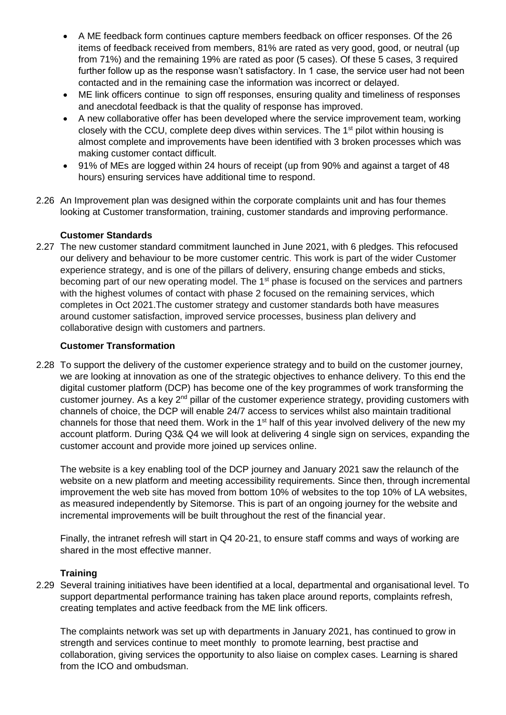- A ME feedback form continues capture members feedback on officer responses. Of the 26 items of feedback received from members, 81% are rated as very good, good, or neutral (up from 71%) and the remaining 19% are rated as poor (5 cases). Of these 5 cases, 3 required further follow up as the response wasn't satisfactory. In 1 case, the service user had not been contacted and in the remaining case the information was incorrect or delayed.
- ME link officers continue to sign off responses, ensuring quality and timeliness of responses and anecdotal feedback is that the quality of response has improved.
- A new collaborative offer has been developed where the service improvement team, working closely with the CCU, complete deep dives within services. The 1<sup>st</sup> pilot within housing is almost complete and improvements have been identified with 3 broken processes which was making customer contact difficult.
- 91% of MEs are logged within 24 hours of receipt (up from 90% and against a target of 48 hours) ensuring services have additional time to respond.
- 2.26 An Improvement plan was designed within the corporate complaints unit and has four themes looking at Customer transformation, training, customer standards and improving performance.

## **Customer Standards**

2.27 The new customer standard commitment launched in June 2021, with 6 pledges. This refocused our delivery and behaviour to be more customer centric. This work is part of the wider Customer experience strategy, and is one of the pillars of delivery, ensuring change embeds and sticks, becoming part of our new operating model. The 1<sup>st</sup> phase is focused on the services and partners with the highest volumes of contact with phase 2 focused on the remaining services, which completes in Oct 2021.The customer strategy and customer standards both have measures around customer satisfaction, improved service processes, business plan delivery and collaborative design with customers and partners.

#### **Customer Transformation**

2.28 To support the delivery of the customer experience strategy and to build on the customer journey, we are looking at innovation as one of the strategic objectives to enhance delivery. To this end the digital customer platform (DCP) has become one of the key programmes of work transforming the customer journey. As a key 2<sup>nd</sup> pillar of the customer experience strategy, providing customers with channels of choice, the DCP will enable 24/7 access to services whilst also maintain traditional channels for those that need them. Work in the 1<sup>st</sup> half of this year involved delivery of the new my account platform. During Q3& Q4 we will look at delivering 4 single sign on services, expanding the customer account and provide more joined up services online.

The website is a key enabling tool of the DCP journey and January 2021 saw the relaunch of the website on a new platform and meeting accessibility requirements. Since then, through incremental improvement the web site has moved from bottom 10% of websites to the top 10% of LA websites, as measured independently by Sitemorse. This is part of an ongoing journey for the website and incremental improvements will be built throughout the rest of the financial year.

Finally, the intranet refresh will start in Q4 20-21, to ensure staff comms and ways of working are shared in the most effective manner.

#### **Training**

2.29 Several training initiatives have been identified at a local, departmental and organisational level. To support departmental performance training has taken place around reports, complaints refresh, creating templates and active feedback from the ME link officers.

The complaints network was set up with departments in January 2021, has continued to grow in strength and services continue to meet monthly to promote learning, best practise and collaboration, giving services the opportunity to also liaise on complex cases. Learning is shared from the ICO and ombudsman.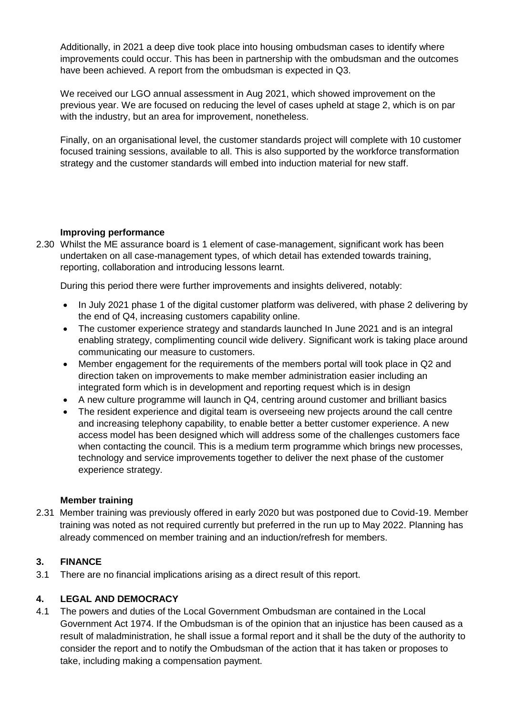Additionally, in 2021 a deep dive took place into housing ombudsman cases to identify where improvements could occur. This has been in partnership with the ombudsman and the outcomes have been achieved. A report from the ombudsman is expected in Q3.

We received our LGO annual assessment in Aug 2021, which showed improvement on the previous year. We are focused on reducing the level of cases upheld at stage 2, which is on par with the industry, but an area for improvement, nonetheless.

Finally, on an organisational level, the customer standards project will complete with 10 customer focused training sessions, available to all. This is also supported by the workforce transformation strategy and the customer standards will embed into induction material for new staff.

## **Improving performance**

2.30 Whilst the ME assurance board is 1 element of case-management, significant work has been undertaken on all case-management types, of which detail has extended towards training, reporting, collaboration and introducing lessons learnt.

During this period there were further improvements and insights delivered, notably:

- In July 2021 phase 1 of the digital customer platform was delivered, with phase 2 delivering by the end of Q4, increasing customers capability online.
- The customer experience strategy and standards launched In June 2021 and is an integral enabling strategy, complimenting council wide delivery. Significant work is taking place around communicating our measure to customers.
- Member engagement for the requirements of the members portal will took place in Q2 and direction taken on improvements to make member administration easier including an integrated form which is in development and reporting request which is in design
- A new culture programme will launch in Q4, centring around customer and brilliant basics
- The resident experience and digital team is overseeing new projects around the call centre and increasing telephony capability, to enable better a better customer experience. A new access model has been designed which will address some of the challenges customers face when contacting the council. This is a medium term programme which brings new processes, technology and service improvements together to deliver the next phase of the customer experience strategy.

## **Member training**

2.31 Member training was previously offered in early 2020 but was postponed due to Covid-19. Member training was noted as not required currently but preferred in the run up to May 2022. Planning has already commenced on member training and an induction/refresh for members.

## **3. FINANCE**

3.1 There are no financial implications arising as a direct result of this report.

## **4. LEGAL AND DEMOCRACY**

4.1 The powers and duties of the Local Government Ombudsman are contained in the Local Government Act 1974. If the Ombudsman is of the opinion that an injustice has been caused as a result of maladministration, he shall issue a formal report and it shall be the duty of the authority to consider the report and to notify the Ombudsman of the action that it has taken or proposes to take, including making a compensation payment.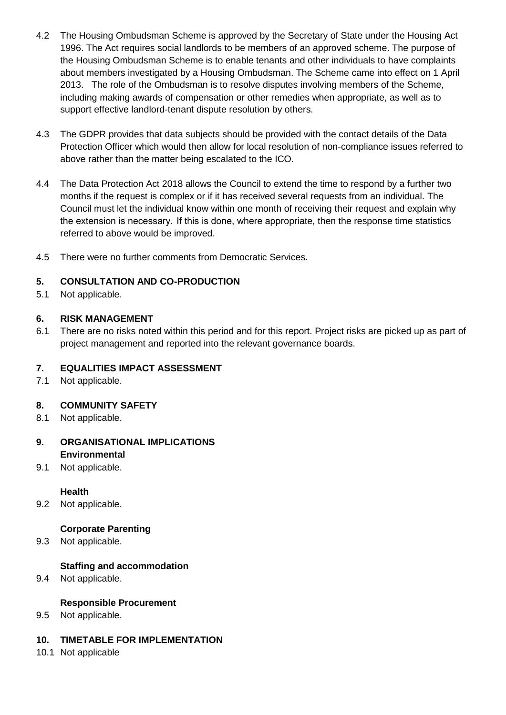- 4.2 The Housing Ombudsman Scheme is approved by the Secretary of State under the Housing Act 1996. The Act requires social landlords to be members of an approved scheme. The purpose of the Housing Ombudsman Scheme is to enable tenants and other individuals to have complaints about members investigated by a Housing Ombudsman. The Scheme came into effect on 1 April 2013. The role of the Ombudsman is to resolve disputes involving members of the Scheme, including making awards of compensation or other remedies when appropriate, as well as to support effective landlord-tenant dispute resolution by others.
- 4.3 The GDPR provides that data subjects should be provided with the contact details of the Data Protection Officer which would then allow for local resolution of non-compliance issues referred to above rather than the matter being escalated to the ICO.
- 4.4 The Data Protection Act 2018 allows the Council to extend the time to respond by a further two months if the request is complex or if it has received several requests from an individual. The Council must let the individual know within one month of receiving their request and explain why the extension is necessary.  If this is done, where appropriate, then the response time statistics referred to above would be improved.
- 4.5 There were no further comments from Democratic Services.

#### **5. CONSULTATION AND CO-PRODUCTION**

5.1 Not applicable.

#### **6. RISK MANAGEMENT**

6.1 There are no risks noted within this period and for this report. Project risks are picked up as part of project management and reported into the relevant governance boards.

## **7. EQUALITIES IMPACT ASSESSMENT**

7.1 Not applicable.

#### **8. COMMUNITY SAFETY**

8.1 Not applicable.

#### **9. ORGANISATIONAL IMPLICATIONS Environmental**

9.1 Not applicable.

#### **Health**

9.2 Not applicable.

#### **Corporate Parenting**

9.3 Not applicable.

#### **Staffing and accommodation**

9.4 Not applicable.

#### **Responsible Procurement**

9.5 Not applicable.

#### **10. TIMETABLE FOR IMPLEMENTATION**

10.1 Not applicable